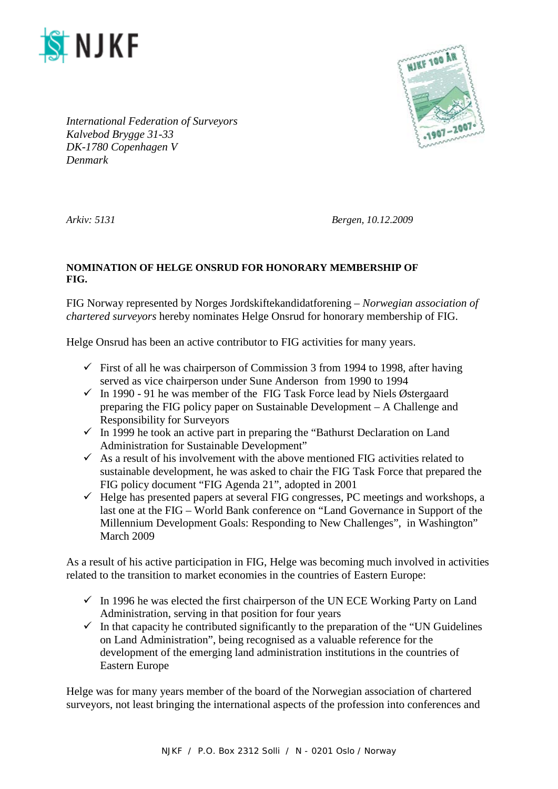



*International Federation of Surveyors Kalvebod Brygge 31-33 DK-1780 Copenhagen V Denmark*

*Arkiv: 5131 Bergen, 10.12.2009*

## **NOMINATION OF HELGE ONSRUD FOR HONORARY MEMBERSHIP OF FIG.**

FIG Norway represented by Norges Jordskiftekandidatforening – *Norwegian association of chartered surveyors* hereby nominates Helge Onsrud for honorary membership of FIG.

Helge Onsrud has been an active contributor to FIG activities for many years.

- $\checkmark$  First of all he was chairperson of Commission 3 from 1994 to 1998, after having served as vice chairperson under Sune Anderson from 1990 to 1994
- $\checkmark$  In 1990 91 he was member of the FIG Task Force lead by Niels Østergaard preparing the FIG policy paper on Sustainable Development – A Challenge and Responsibility for Surveyors
- $\checkmark$  In 1999 he took an active part in preparing the "Bathurst Declaration on Land" Administration for Sustainable Development"
- $\checkmark$  As a result of his involvement with the above mentioned FIG activities related to sustainable development, he was asked to chair the FIG Task Force that prepared the FIG policy document "FIG Agenda 21", adopted in 2001
- $\checkmark$  Helge has presented papers at several FIG congresses, PC meetings and workshops, a last one at the FIG – World Bank conference on "Land Governance in Support of the Millennium Development Goals: Responding to New Challenges", in Washington" March 2009

As a result of his active participation in FIG, Helge was becoming much involved in activities related to the transition to market economies in the countries of Eastern Europe:

- $\checkmark$  In 1996 he was elected the first chairperson of the UN ECE Working Party on Land Administration, serving in that position for four years
- $\checkmark$  In that capacity he contributed significantly to the preparation of the "UN Guidelines" on Land Administration", being recognised as a valuable reference for the development of the emerging land administration institutions in the countries of Eastern Europe

Helge was for many years member of the board of the Norwegian association of chartered surveyors, not least bringing the international aspects of the profession into conferences and